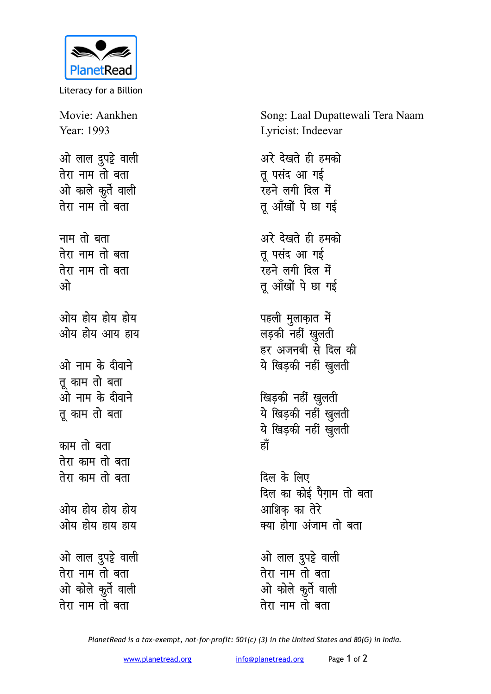

Literacy for a Billion

Movie: Aankhen Year: 1993 ओ लाल दुपट्टे वाली तेरा नाम तो बता ओ काले कुर्ते वाली तेरा नाम तो बता नाम तो बता तेरा नाम तो बता तेरा नाम तो बता ्भो ओय होय होय होय ओय होय आय हाय ओ नाम के दीवाने तू काम तो बता<br>ओ नाम के दीवाने तू काम तो बता काम तो बता तेरा काम तो बता तेरा काम तो बता ओय होय होय होय ओय होय हाय हाय ओ लाल दुपट्टे वाली<br>तेरा नाम तो बता ओ कोले कुर्ते वाली तेरा नाम तो बता

Song: Laal Dupattewali Tera Naam Lyricist: Indeevar

अरे देखते ही हमको तू पसंद आ गई रहने लगी दिल में तू आँखों पे छा गई अरे देखते ही हमको तू पसंद आ गई रहने लगी दिल में तू आँखों पे छा गई पहली मुलाक़ात में लड़की नहीं खुलती हर अजनबी से दिल की ये खिड़की नहीं खुलती खिड़की नहीं खुलती ये खिड़की नहीँ खुलती ये खिड़की नहीं खुलती हाँ दिल के लिए

दिल का कोई पैगाम तो बता आशिक का तेरे क्या होगा अंजाम तो बता

ओ लाल दुपट्टे वाली तेरा नाम तो बता ओ कोले कुर्ते वाली तेरा नाम तो बता

PlanetRead is a tax-exempt, not-for-profit: 501(c) (3) in the United States and 80(G) in India.